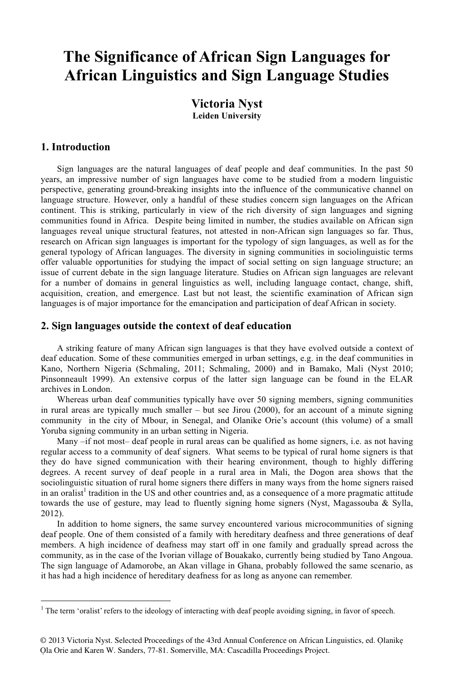# **The Significance of African Sign Languages for African Linguistics and Sign Language Studies**

### **Victoria Nyst Leiden University**

#### **1. Introduction**

 $\overline{a}$ 

Sign languages are the natural languages of deaf people and deaf communities. In the past 50 years, an impressive number of sign languages have come to be studied from a modern linguistic perspective, generating ground-breaking insights into the influence of the communicative channel on language structure. However, only a handful of these studies concern sign languages on the African continent. This is striking, particularly in view of the rich diversity of sign languages and signing communities found in Africa. Despite being limited in number, the studies available on African sign languages reveal unique structural features, not attested in non-African sign languages so far. Thus, research on African sign languages is important for the typology of sign languages, as well as for the general typology of African languages. The diversity in signing communities in sociolinguistic terms offer valuable opportunities for studying the impact of social setting on sign language structure; an issue of current debate in the sign language literature. Studies on African sign languages are relevant for a number of domains in general linguistics as well, including language contact, change, shift, acquisition, creation, and emergence. Last but not least, the scientific examination of African sign languages is of major importance for the emancipation and participation of deaf African in society.

#### **2. Sign languages outside the context of deaf education**

A striking feature of many African sign languages is that they have evolved outside a context of deaf education. Some of these communities emerged in urban settings, e.g. in the deaf communities in Kano, Northern Nigeria (Schmaling, 2011; Schmaling, 2000) and in Bamako, Mali (Nyst 2010; Pinsonneault 1999). An extensive corpus of the latter sign language can be found in the ELAR archives in London.

Whereas urban deaf communities typically have over 50 signing members, signing communities in rural areas are typically much smaller – but see Jirou (2000), for an account of a minute signing community in the city of Mbour, in Senegal, and Olanike Orie's account (this volume) of a small Yoruba signing community in an urban setting in Nigeria.

Many –if not most– deaf people in rural areas can be qualified as home signers, i.e. as not having regular access to a community of deaf signers. What seems to be typical of rural home signers is that they do have signed communication with their hearing environment, though to highly differing degrees. A recent survey of deaf people in a rural area in Mali, the Dogon area shows that the sociolinguistic situation of rural home signers there differs in many ways from the home signers raised in an oralist<sup>1</sup> tradition in the US and other countries and, as a consequence of a more pragmatic attitude towards the use of gesture, may lead to fluently signing home signers (Nyst, Magassouba & Sylla, 2012).

In addition to home signers, the same survey encountered various microcommunities of signing deaf people. One of them consisted of a family with hereditary deafness and three generations of deaf members. A high incidence of deafness may start off in one family and gradually spread across the community, as in the case of the Ivorian village of Bouakako, currently being studied by Tano Angoua. The sign language of Adamorobe, an Akan village in Ghana, probably followed the same scenario, as it has had a high incidence of hereditary deafness for as long as anyone can remember.

 $1$  The term 'oralist' refers to the ideology of interacting with deaf people avoiding signing, in favor of speech.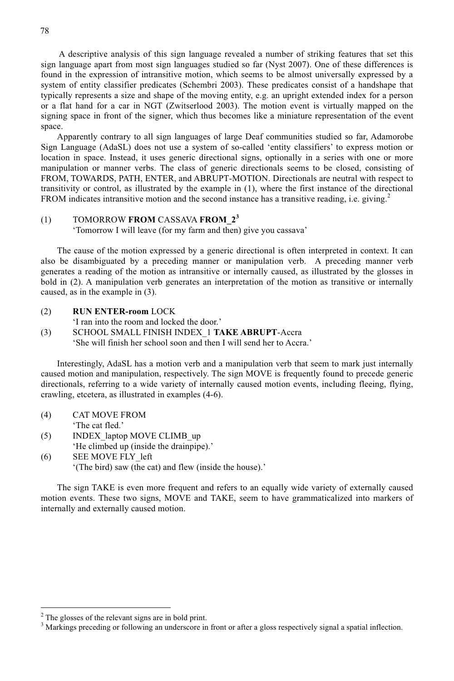A descriptive analysis of this sign language revealed a number of striking features that set this sign language apart from most sign languages studied so far (Nyst 2007). One of these differences is found in the expression of intransitive motion, which seems to be almost universally expressed by a system of entity classifier predicates (Schembri 2003). These predicates consist of a handshape that typically represents a size and shape of the moving entity, e.g. an upright extended index for a person or a flat hand for a car in NGT (Zwitserlood 2003). The motion event is virtually mapped on the signing space in front of the signer, which thus becomes like a miniature representation of the event space.

Apparently contrary to all sign languages of large Deaf communities studied so far, Adamorobe Sign Language (AdaSL) does not use a system of so-called 'entity classifiers' to express motion or location in space. Instead, it uses generic directional signs, optionally in a series with one or more manipulation or manner verbs. The class of generic directionals seems to be closed, consisting of FROM, TOWARDS, PATH, ENTER, and ABRUPT-MOTION. Directionals are neutral with respect to transitivity or control, as illustrated by the example in (1), where the first instance of the directional FROM indicates intransitive motion and the second instance has a transitive reading, i.e. giving.<sup>2</sup>

#### (1) TOMORROW **FROM** CASSAVA **FROM\_2<sup>3</sup>**

'Tomorrow I will leave (for my farm and then) give you cassava'

The cause of the motion expressed by a generic directional is often interpreted in context. It can also be disambiguated by a preceding manner or manipulation verb. A preceding manner verb generates a reading of the motion as intransitive or internally caused, as illustrated by the glosses in bold in (2). A manipulation verb generates an interpretation of the motion as transitive or internally caused, as in the example in (3).

(2) **RUN ENTER-room** LOCK

'I ran into the room and locked the door.' (3) SCHOOL SMALL FINISH INDEX\_1 **TAKE ABRUPT**-Accra

'She will finish her school soon and then I will send her to Accra.'

Interestingly, AdaSL has a motion verb and a manipulation verb that seem to mark just internally caused motion and manipulation, respectively. The sign MOVE is frequently found to precede generic directionals, referring to a wide variety of internally caused motion events, including fleeing, flying, crawling, etcetera, as illustrated in examples (4-6).

- (4) CAT MOVE FROM 'The cat fled.'
- (5) INDEX\_laptop MOVE CLIMB\_up 'He climbed up (inside the drainpipe).'
- (6) SEE MOVE FLY\_left '(The bird) saw (the cat) and flew (inside the house).'

The sign TAKE is even more frequent and refers to an equally wide variety of externally caused motion events. These two signs, MOVE and TAKE, seem to have grammaticalized into markers of internally and externally caused motion.

 $\overline{a}$ 

 $2^2$  The glosses of the relevant signs are in bold print.

<sup>&</sup>lt;sup>3</sup> Markings preceding or following an underscore in front or after a gloss respectively signal a spatial inflection.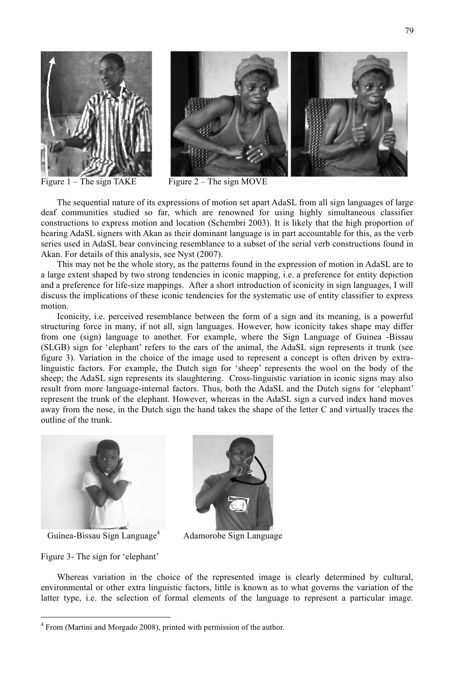



Figure  $1$  – The sign TAKE Figure  $2$  – The sign MOVE

The sequential nature of its expressions of motion set apart AdaSL from all sign languages of large deaf communities studied so far, which are renowned for using highly simultaneous classifier constructions to express motion and location (Schembri 2003). It is likely that the high proportion of hearing AdaSL signers with Akan as their dominant language is in part accountable for this, as the verb series used in AdaSL bear convincing resemblance to a subset of the serial verb constructions found in Akan. For details of this analysis, see Nyst (2007).

This may not be the whole story, as the patterns found in the expression of motion in AdaSL are to a large extent shaped by two strong tendencies in iconic mapping, i.e. a preference for entity depiction and a preference for life-size mappings. After a short introduction of iconicity in sign languages, I will discuss the implications of these iconic tendencies for the systematic use of entity classifier to express motion.

Iconicity, i.e. perceived resemblance between the form of a sign and its meaning, is a powerful structuring force in many, if not all, sign languages. However, how iconicity takes shape may differ from one (sign) language to another. For example, where the Sign Language of Guinea -Bissau (SLGB) sign for 'elephant' refers to the ears of the animal, the AdaSL sign represents it trunk (see figure 3). Variation in the choice of the image used to represent a concept is often driven by extralinguistic factors. For example, the Dutch sign for 'sheep' represents the wool on the body of the sheep; the AdaSL sign represents its slaughtering. Cross-linguistic variation in iconic signs may also result from more language-internal factors. Thus, both the AdaSL and the Dutch signs for 'elephant' represent the trunk of the elephant. However, whereas in the AdaSL sign a curved index hand moves away from the nose, in the Dutch sign the hand takes the shape of the letter C and virtually traces the outline of the trunk.



Guinea-Bissau Sign Language<sup>4</sup>



Adamorobe Sign Language

Figure 3- The sign for 'elephant'

 $\overline{a}$ 

Whereas variation in the choice of the represented image is clearly determined by cultural, environmental or other extra linguistic factors, little is known as to what governs the variation of the latter type, i.e. the selection of formal elements of the language to represent a particular image.

<sup>&</sup>lt;sup>4</sup> From (Martini and Morgado 2008), printed with permission of the author.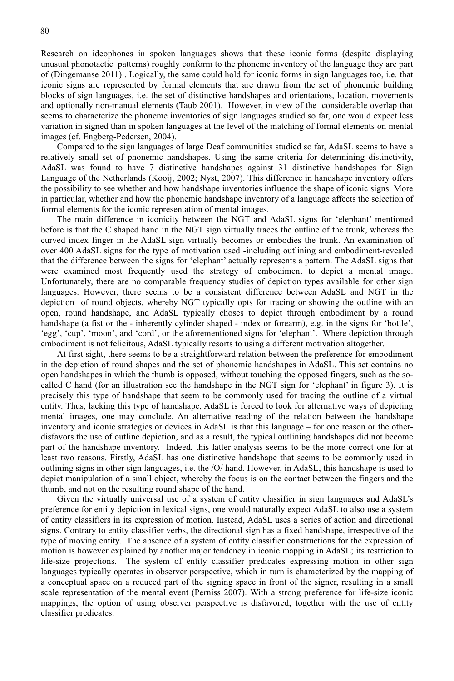Research on ideophones in spoken languages shows that these iconic forms (despite displaying unusual phonotactic patterns) roughly conform to the phoneme inventory of the language they are part of (Dingemanse 2011) . Logically, the same could hold for iconic forms in sign languages too, i.e. that iconic signs are represented by formal elements that are drawn from the set of phonemic building blocks of sign languages, i.e. the set of distinctive handshapes and orientations, location, movements and optionally non-manual elements (Taub 2001). However, in view of the considerable overlap that seems to characterize the phoneme inventories of sign languages studied so far, one would expect less variation in signed than in spoken languages at the level of the matching of formal elements on mental images (cf. Engberg-Pedersen, 2004).

Compared to the sign languages of large Deaf communities studied so far, AdaSL seems to have a relatively small set of phonemic handshapes. Using the same criteria for determining distinctivity, AdaSL was found to have 7 distinctive handshapes against 31 distinctive handshapes for Sign Language of the Netherlands (Kooij, 2002; Nyst, 2007). This difference in handshape inventory offers the possibility to see whether and how handshape inventories influence the shape of iconic signs. More in particular, whether and how the phonemic handshape inventory of a language affects the selection of formal elements for the iconic representation of mental images.

The main difference in iconicity between the NGT and AdaSL signs for 'elephant' mentioned before is that the C shaped hand in the NGT sign virtually traces the outline of the trunk, whereas the curved index finger in the AdaSL sign virtually becomes or embodies the trunk. An examination of over 400 AdaSL signs for the type of motivation used -including outlining and embodiment-revealed that the difference between the signs for 'elephant' actually represents a pattern. The AdaSL signs that were examined most frequently used the strategy of embodiment to depict a mental image. Unfortunately, there are no comparable frequency studies of depiction types available for other sign languages. However, there seems to be a consistent difference between AdaSL and NGT in the depiction of round objects, whereby NGT typically opts for tracing or showing the outline with an open, round handshape, and AdaSL typically choses to depict through embodiment by a round handshape (a fist or the - inherently cylinder shaped - index or forearm), e.g. in the signs for 'bottle', 'egg', 'cup', 'moon', and 'cord', or the aforementioned signs for 'elephant'. Where depiction through embodiment is not felicitous, AdaSL typically resorts to using a different motivation altogether.

At first sight, there seems to be a straightforward relation between the preference for embodiment in the depiction of round shapes and the set of phonemic handshapes in AdaSL. This set contains no open handshapes in which the thumb is opposed, without touching the opposed fingers, such as the socalled C hand (for an illustration see the handshape in the NGT sign for 'elephant' in figure 3). It is precisely this type of handshape that seem to be commonly used for tracing the outline of a virtual entity. Thus, lacking this type of handshape, AdaSL is forced to look for alternative ways of depicting mental images, one may conclude. An alternative reading of the relation between the handshape inventory and iconic strategies or devices in AdaSL is that this language – for one reason or the otherdisfavors the use of outline depiction, and as a result, the typical outlining handshapes did not become part of the handshape inventory. Indeed, this latter analysis seems to be the more correct one for at least two reasons. Firstly, AdaSL has one distinctive handshape that seems to be commonly used in outlining signs in other sign languages, i.e. the /O/ hand. However, in AdaSL, this handshape is used to depict manipulation of a small object, whereby the focus is on the contact between the fingers and the thumb, and not on the resulting round shape of the hand.

Given the virtually universal use of a system of entity classifier in sign languages and AdaSL's preference for entity depiction in lexical signs, one would naturally expect AdaSL to also use a system of entity classifiers in its expression of motion. Instead, AdaSL uses a series of action and directional signs. Contrary to entity classifier verbs, the directional sign has a fixed handshape, irrespective of the type of moving entity. The absence of a system of entity classifier constructions for the expression of motion is however explained by another major tendency in iconic mapping in AdaSL; its restriction to life-size projections. The system of entity classifier predicates expressing motion in other sign languages typically operates in observer perspective, which in turn is characterized by the mapping of a conceptual space on a reduced part of the signing space in front of the signer, resulting in a small scale representation of the mental event (Perniss 2007). With a strong preference for life-size iconic mappings, the option of using observer perspective is disfavored, together with the use of entity classifier predicates.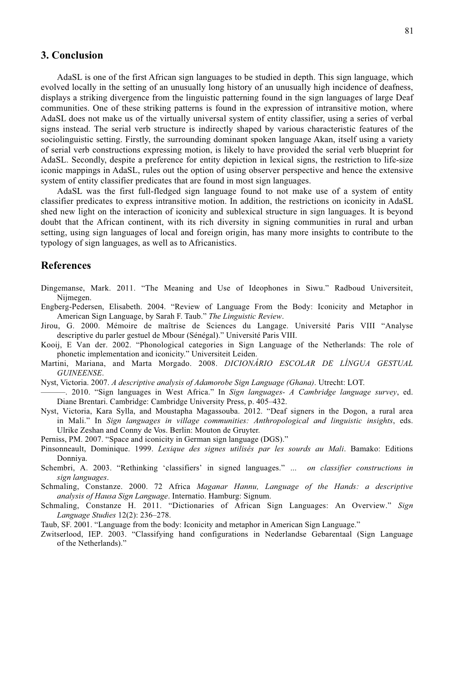#### **3. Conclusion**

AdaSL is one of the first African sign languages to be studied in depth. This sign language, which evolved locally in the setting of an unusually long history of an unusually high incidence of deafness, displays a striking divergence from the linguistic patterning found in the sign languages of large Deaf communities. One of these striking patterns is found in the expression of intransitive motion, where AdaSL does not make us of the virtually universal system of entity classifier, using a series of verbal signs instead. The serial verb structure is indirectly shaped by various characteristic features of the sociolinguistic setting. Firstly, the surrounding dominant spoken language Akan, itself using a variety of serial verb constructions expressing motion, is likely to have provided the serial verb blueprint for AdaSL. Secondly, despite a preference for entity depiction in lexical signs, the restriction to life-size iconic mappings in AdaSL, rules out the option of using observer perspective and hence the extensive system of entity classifier predicates that are found in most sign languages.

AdaSL was the first full-fledged sign language found to not make use of a system of entity classifier predicates to express intransitive motion. In addition, the restrictions on iconicity in AdaSL shed new light on the interaction of iconicity and sublexical structure in sign languages. It is beyond doubt that the African continent, with its rich diversity in signing communities in rural and urban setting, using sign languages of local and foreign origin, has many more insights to contribute to the typology of sign languages, as well as to Africanistics.

#### **References**

- Dingemanse, Mark. 2011. "The Meaning and Use of Ideophones in Siwu." Radboud Universiteit, Nijmegen.
- Engberg-Pedersen, Elisabeth. 2004. "Review of Language From the Body: Iconicity and Metaphor in American Sign Language, by Sarah F. Taub." *The Linguistic Review*.
- Jirou, G. 2000. Mémoire de maîtrise de Sciences du Langage. Université Paris VIII "Analyse descriptive du parler gestuel de Mbour (Sénégal)." Université Paris VIII.
- Kooij, E Van der. 2002. "Phonological categories in Sign Language of the Netherlands: The role of phonetic implementation and iconicity." Universiteit Leiden.
- Martini, Mariana, and Marta Morgado. 2008. *DICIONÁRIO ESCOLAR DE LÍNGUA GESTUAL GUINEENSE*.
- Nyst, Victoria. 2007. *A descriptive analysis of Adamorobe Sign Language (Ghana)*. Utrecht: LOT.
- ———. 2010. "Sign languages in West Africa." In *Sign languages- A Cambridge language survey*, ed. Diane Brentari. Cambridge: Cambridge University Press, p. 405–432.
- Nyst, Victoria, Kara Sylla, and Moustapha Magassouba. 2012. "Deaf signers in the Dogon, a rural area in Mali." In *Sign languages in village communities: Anthropological and linguistic insights*, eds. Ulrike Zeshan and Conny de Vos. Berlin: Mouton de Gruyter.
- Perniss, PM. 2007. "Space and iconicity in German sign language (DGS)."
- Pinsonneault, Dominique. 1999. *Lexique des signes utilisés par les sourds au Mali*. Bamako: Editions Donniya.
- Schembri, A. 2003. "Rethinking 'classifiers' in signed languages." *… on classifier constructions in sign languages*.
- Schmaling, Constanze. 2000. 72 Africa *Maganar Hannu, Language of the Hands: a descriptive analysis of Hausa Sign Language*. Internatio. Hamburg: Signum.
- Schmaling, Constanze H. 2011. "Dictionaries of African Sign Languages: An Overview." *Sign Language Studies* 12(2): 236–278.
- Taub, SF. 2001. "Language from the body: Iconicity and metaphor in American Sign Language."
- Zwitserlood, IEP. 2003. "Classifying hand configurations in Nederlandse Gebarentaal (Sign Language of the Netherlands)."